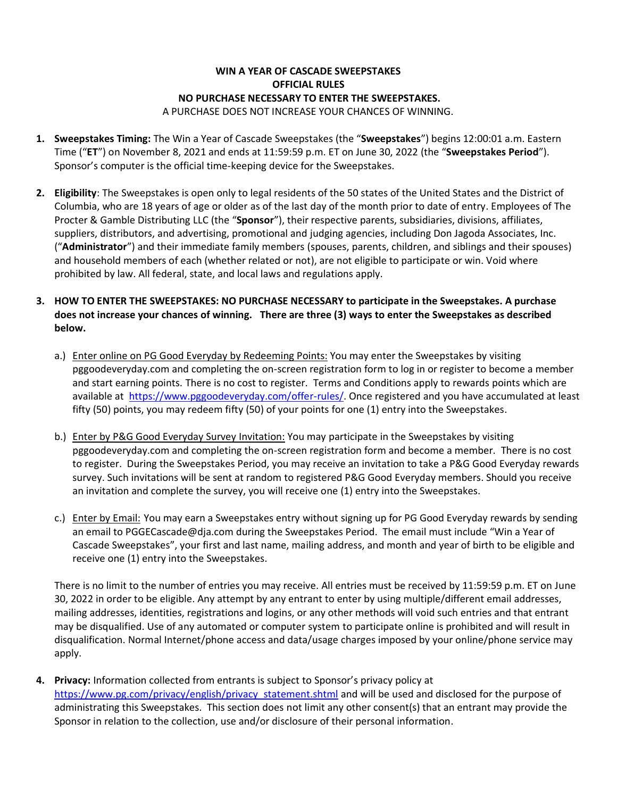## **WIN A YEAR OF CASCADE SWEEPSTAKES OFFICIAL RULES NO PURCHASE NECESSARY TO ENTER THE SWEEPSTAKES.**

A PURCHASE DOES NOT INCREASE YOUR CHANCES OF WINNING.

- **1. Sweepstakes Timing:** The Win a Year of Cascade Sweepstakes (the "**Sweepstakes**") begins 12:00:01 a.m. Eastern Time ("**ET**") on November 8, 2021 and ends at 11:59:59 p.m. ET on June 30, 2022 (the "**Sweepstakes Period**"). Sponsor's computer is the official time-keeping device for the Sweepstakes.
- **2. Eligibility**: The Sweepstakes is open only to legal residents of the 50 states of the United States and the District of Columbia, who are 18 years of age or older as of the last day of the month prior to date of entry. Employees of The Procter & Gamble Distributing LLC (the "**Sponsor**"), their respective parents, subsidiaries, divisions, affiliates, suppliers, distributors, and advertising, promotional and judging agencies, including Don Jagoda Associates, Inc. ("**Administrator**") and their immediate family members (spouses, parents, children, and siblings and their spouses) and household members of each (whether related or not), are not eligible to participate or win. Void where prohibited by law. All federal, state, and local laws and regulations apply.
- **3. HOW TO ENTER THE SWEEPSTAKES: NO PURCHASE NECESSARY to participate in the Sweepstakes. A purchase does not increase your chances of winning. There are three (3) ways to enter the Sweepstakes as described below.**
	- a.) Enter online on PG Good Everyday by Redeeming Points: You may enter the Sweepstakes by visiting pggoodeveryday.com and completing the on-screen registration form to log in or register to become a member and start earning points. There is no cost to register. Terms and Conditions apply to rewards points which are available at [https://www.pggoodeveryday.com/offer-rules/.](https://www.pggoodeveryday.com/offer-rules/) Once registered and you have accumulated at least fifty (50) points, you may redeem fifty (50) of your points for one (1) entry into the Sweepstakes.
	- b.) Enter by P&G Good Everyday Survey Invitation: You may participate in the Sweepstakes by visiting pggoodeveryday.com and completing the on-screen registration form and become a member. There is no cost to register. During the Sweepstakes Period, you may receive an invitation to take a P&G Good Everyday rewards survey. Such invitations will be sent at random to registered P&G Good Everyday members. Should you receive an invitation and complete the survey, you will receive one (1) entry into the Sweepstakes.
	- c.) Enter by Email: You may earn a Sweepstakes entry without signing up for PG Good Everyday rewards by sending an email to PGGECascade@dja.com during the Sweepstakes Period. The email must include "Win a Year of Cascade Sweepstakes", your first and last name, mailing address, and month and year of birth to be eligible and receive one (1) entry into the Sweepstakes.

There is no limit to the number of entries you may receive. All entries must be received by 11:59:59 p.m. ET on June 30, 2022 in order to be eligible. Any attempt by any entrant to enter by using multiple/different email addresses, mailing addresses, identities, registrations and logins, or any other methods will void such entries and that entrant may be disqualified. Use of any automated or computer system to participate online is prohibited and will result in disqualification. Normal Internet/phone access and data/usage charges imposed by your online/phone service may apply.

**4. Privacy:** Information collected from entrants is subject to Sponsor's privacy policy at [https://www.pg.com/privacy/english/privacy\\_statement.shtml](https://www.pg.com/privacy/english/privacy_statement.shtml) and will be used and disclosed for the purpose of administrating this Sweepstakes. This section does not limit any other consent(s) that an entrant may provide the Sponsor in relation to the collection, use and/or disclosure of their personal information.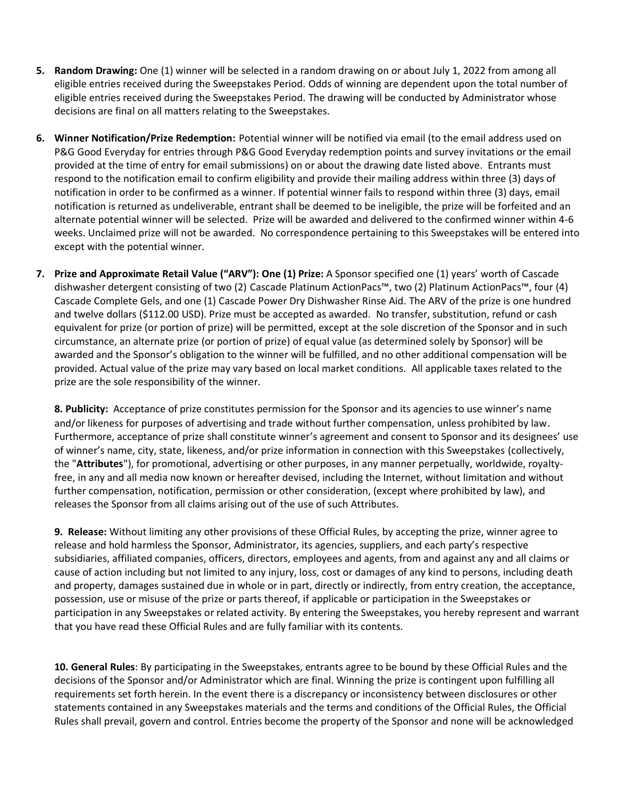- **5. Random Drawing:** One (1) winner will be selected in a random drawing on or about July 1, 2022 from among all eligible entries received during the Sweepstakes Period. Odds of winning are dependent upon the total number of eligible entries received during the Sweepstakes Period. The drawing will be conducted by Administrator whose decisions are final on all matters relating to the Sweepstakes.
- **6. Winner Notification/Prize Redemption:** Potential winner will be notified via email (to the email address used on P&G Good Everyday for entries through P&G Good Everyday redemption points and survey invitations or the email provided at the time of entry for email submissions) on or about the drawing date listed above. Entrants must respond to the notification email to confirm eligibility and provide their mailing address within three (3) days of notification in order to be confirmed as a winner. If potential winner fails to respond within three (3) days, email notification is returned as undeliverable, entrant shall be deemed to be ineligible, the prize will be forfeited and an alternate potential winner will be selected. Prize will be awarded and delivered to the confirmed winner within 4-6 weeks. Unclaimed prize will not be awarded. No correspondence pertaining to this Sweepstakes will be entered into except with the potential winner.
- **7. Prize and Approximate Retail Value ("ARV"): One (1) Prize:** A Sponsor specified one (1) years' worth of Cascade dishwasher detergent consisting of two (2) Cascade Platinum ActionPacs™, two (2) Platinum ActionPacs™, four (4) Cascade Complete Gels, and one (1) Cascade Power Dry Dishwasher Rinse Aid. The ARV of the prize is one hundred and twelve dollars (\$112.00 USD). Prize must be accepted as awarded. No transfer, substitution, refund or cash equivalent for prize (or portion of prize) will be permitted, except at the sole discretion of the Sponsor and in such circumstance, an alternate prize (or portion of prize) of equal value (as determined solely by Sponsor) will be awarded and the Sponsor's obligation to the winner will be fulfilled, and no other additional compensation will be provided. Actual value of the prize may vary based on local market conditions. All applicable taxes related to the prize are the sole responsibility of the winner.

**8. Publicity:** Acceptance of prize constitutes permission for the Sponsor and its agencies to use winner's name and/or likeness for purposes of advertising and trade without further compensation, unless prohibited by law. Furthermore, acceptance of prize shall constitute winner's agreement and consent to Sponsor and its designees' use of winner's name, city, state, likeness, and/or prize information in connection with this Sweepstakes (collectively, the "**Attributes**"), for promotional, advertising or other purposes, in any manner perpetually, worldwide, royaltyfree, in any and all media now known or hereafter devised, including the Internet, without limitation and without further compensation, notification, permission or other consideration, (except where prohibited by law), and releases the Sponsor from all claims arising out of the use of such Attributes.

**9. Release:** Without limiting any other provisions of these Official Rules, by accepting the prize, winner agree to release and hold harmless the Sponsor, Administrator, its agencies, suppliers, and each party's respective subsidiaries, affiliated companies, officers, directors, employees and agents, from and against any and all claims or cause of action including but not limited to any injury, loss, cost or damages of any kind to persons, including death and property, damages sustained due in whole or in part, directly or indirectly, from entry creation, the acceptance, possession, use or misuse of the prize or parts thereof, if applicable or participation in the Sweepstakes or participation in any Sweepstakes or related activity. By entering the Sweepstakes, you hereby represent and warrant that you have read these Official Rules and are fully familiar with its contents.

**10. General Rules**: By participating in the Sweepstakes, entrants agree to be bound by these Official Rules and the decisions of the Sponsor and/or Administrator which are final. Winning the prize is contingent upon fulfilling all requirements set forth herein. In the event there is a discrepancy or inconsistency between disclosures or other statements contained in any Sweepstakes materials and the terms and conditions of the Official Rules, the Official Rules shall prevail, govern and control. Entries become the property of the Sponsor and none will be acknowledged